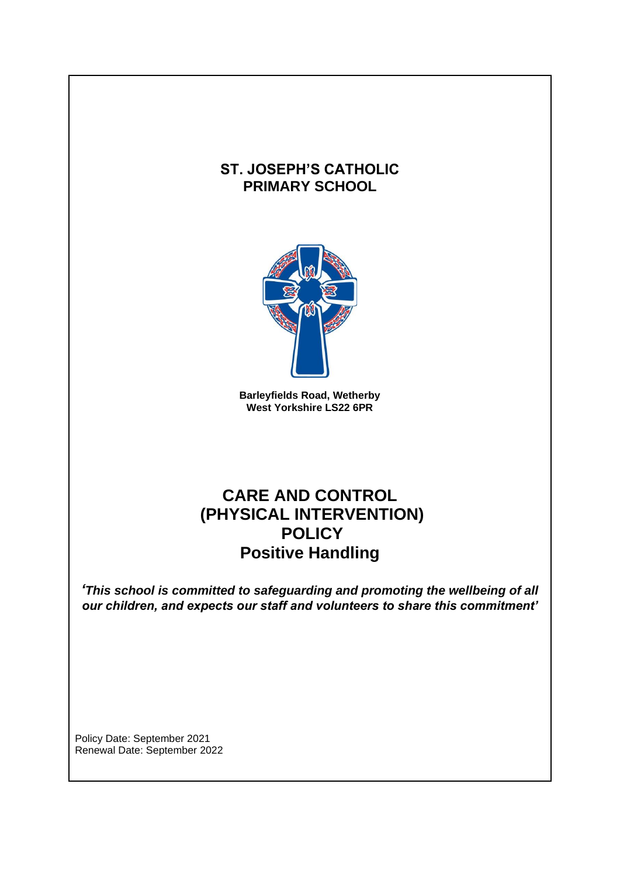# **ST. JOSEPH'S CATHOLIC PRIMARY SCHOOL**



**Barleyfields Road, Wetherby West Yorkshire LS22 6PR**

# **CARE AND CONTROL (PHYSICAL INTERVENTION) POLICY Positive Handling**

*'This school is committed to safeguarding and promoting the wellbeing of all our children, and expects our staff and volunteers to share this commitment'*

Policy Date: September 2021 Renewal Date: September 2022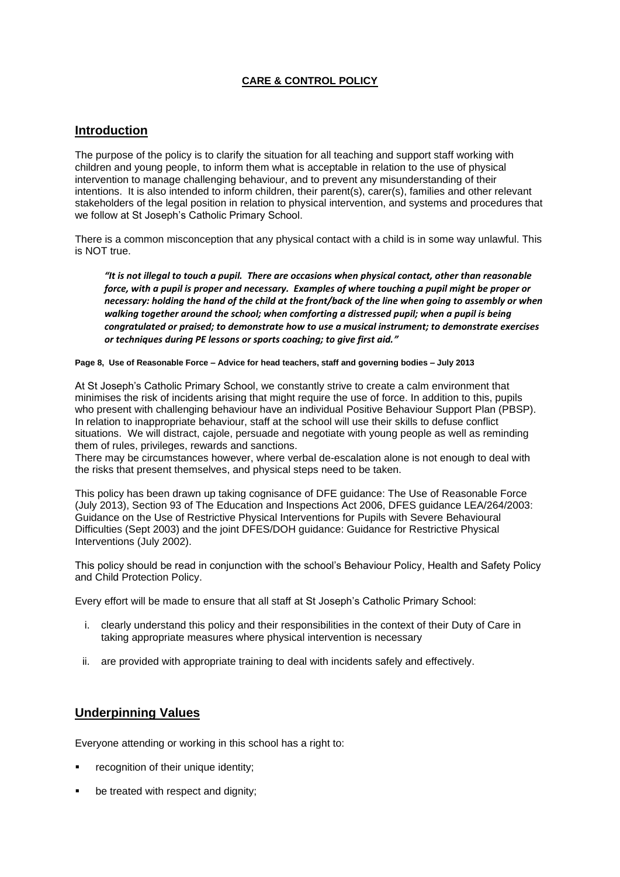# **CARE & CONTROL POLICY**

# **Introduction**

The purpose of the policy is to clarify the situation for all teaching and support staff working with children and young people, to inform them what is acceptable in relation to the use of physical intervention to manage challenging behaviour, and to prevent any misunderstanding of their intentions. It is also intended to inform children, their parent(s), carer(s), families and other relevant stakeholders of the legal position in relation to physical intervention, and systems and procedures that we follow at St Joseph's Catholic Primary School.

There is a common misconception that any physical contact with a child is in some way unlawful. This is NOT true.

*"It is not illegal to touch a pupil. There are occasions when physical contact, other than reasonable force, with a pupil is proper and necessary. Examples of where touching a pupil might be proper or necessary: holding the hand of the child at the front/back of the line when going to assembly or when walking together around the school; when comforting a distressed pupil; when a pupil is being congratulated or praised; to demonstrate how to use a musical instrument; to demonstrate exercises or techniques during PE lessons or sports coaching; to give first aid."*

#### **Page 8, Use of Reasonable Force – Advice for head teachers, staff and governing bodies – July 2013**

At St Joseph's Catholic Primary School, we constantly strive to create a calm environment that minimises the risk of incidents arising that might require the use of force. In addition to this, pupils who present with challenging behaviour have an individual Positive Behaviour Support Plan (PBSP). In relation to inappropriate behaviour, staff at the school will use their skills to defuse conflict situations. We will distract, cajole, persuade and negotiate with young people as well as reminding them of rules, privileges, rewards and sanctions.

There may be circumstances however, where verbal de-escalation alone is not enough to deal with the risks that present themselves, and physical steps need to be taken.

This policy has been drawn up taking cognisance of DFE guidance: The Use of Reasonable Force (July 2013), Section 93 of The Education and Inspections Act 2006, DFES guidance LEA/264/2003: Guidance on the Use of Restrictive Physical Interventions for Pupils with Severe Behavioural Difficulties (Sept 2003) and the joint DFES/DOH guidance: Guidance for Restrictive Physical Interventions (July 2002).

This policy should be read in conjunction with the school's Behaviour Policy, Health and Safety Policy and Child Protection Policy.

Every effort will be made to ensure that all staff at St Joseph's Catholic Primary School:

- i. clearly understand this policy and their responsibilities in the context of their Duty of Care in taking appropriate measures where physical intervention is necessary
- ii. are provided with appropriate training to deal with incidents safely and effectively.

# **Underpinning Values**

Everyone attending or working in this school has a right to:

- recognition of their unique identity;
- be treated with respect and dignity;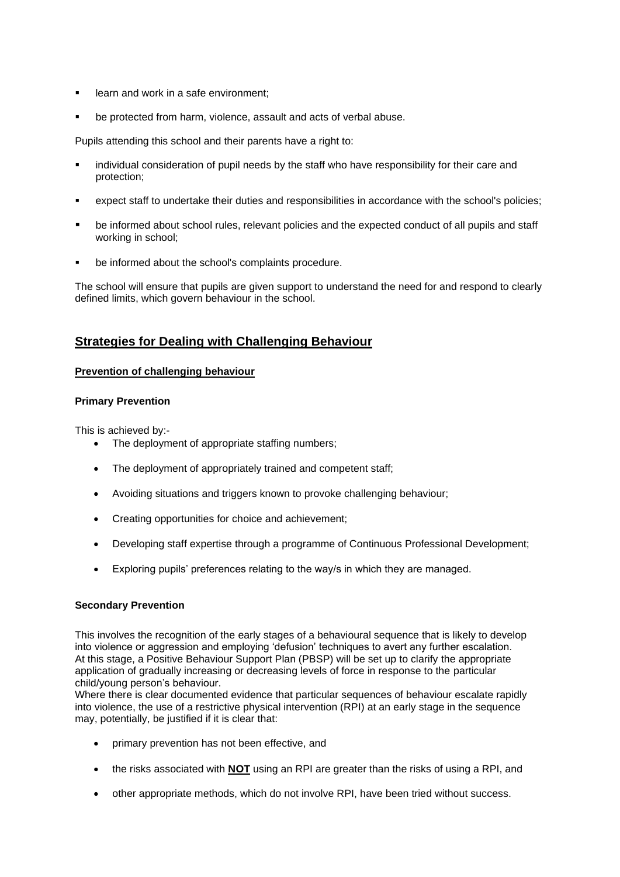- learn and work in a safe environment;
- be protected from harm, violence, assault and acts of verbal abuse.

Pupils attending this school and their parents have a right to:

- individual consideration of pupil needs by the staff who have responsibility for their care and protection;
- expect staff to undertake their duties and responsibilities in accordance with the school's policies;
- be informed about school rules, relevant policies and the expected conduct of all pupils and staff working in school;
- be informed about the school's complaints procedure.

The school will ensure that pupils are given support to understand the need for and respond to clearly defined limits, which govern behaviour in the school.

# **Strategies for Dealing with Challenging Behaviour**

# **Prevention of challenging behaviour**

## **Primary Prevention**

This is achieved by:-

- The deployment of appropriate staffing numbers;
- The deployment of appropriately trained and competent staff;
- Avoiding situations and triggers known to provoke challenging behaviour;
- Creating opportunities for choice and achievement;
- Developing staff expertise through a programme of Continuous Professional Development;
- Exploring pupils' preferences relating to the way/s in which they are managed.

## **Secondary Prevention**

This involves the recognition of the early stages of a behavioural sequence that is likely to develop into violence or aggression and employing 'defusion' techniques to avert any further escalation. At this stage, a Positive Behaviour Support Plan (PBSP) will be set up to clarify the appropriate application of gradually increasing or decreasing levels of force in response to the particular child/young person's behaviour.

Where there is clear documented evidence that particular sequences of behaviour escalate rapidly into violence, the use of a restrictive physical intervention (RPI) at an early stage in the sequence may, potentially, be justified if it is clear that:

- primary prevention has not been effective, and
- the risks associated with **NOT** using an RPI are greater than the risks of using a RPI, and
- other appropriate methods, which do not involve RPI, have been tried without success.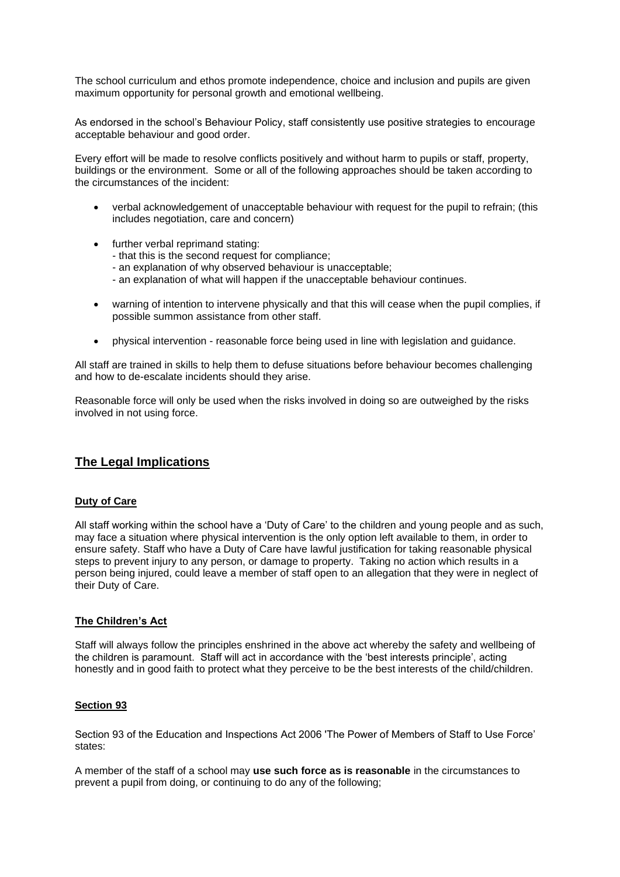The school curriculum and ethos promote independence, choice and inclusion and pupils are given maximum opportunity for personal growth and emotional wellbeing.

As endorsed in the school's Behaviour Policy, staff consistently use positive strategies to encourage acceptable behaviour and good order.

Every effort will be made to resolve conflicts positively and without harm to pupils or staff, property, buildings or the environment. Some or all of the following approaches should be taken according to the circumstances of the incident:

- verbal acknowledgement of unacceptable behaviour with request for the pupil to refrain; (this includes negotiation, care and concern)
- further verbal reprimand stating:
	- that this is the second request for compliance;
	- an explanation of why observed behaviour is unacceptable;
	- an explanation of what will happen if the unacceptable behaviour continues.
- warning of intention to intervene physically and that this will cease when the pupil complies, if possible summon assistance from other staff.
- physical intervention reasonable force being used in line with legislation and guidance.

All staff are trained in skills to help them to defuse situations before behaviour becomes challenging and how to de-escalate incidents should they arise.

Reasonable force will only be used when the risks involved in doing so are outweighed by the risks involved in not using force.

# **The Legal Implications**

## **Duty of Care**

All staff working within the school have a 'Duty of Care' to the children and young people and as such, may face a situation where physical intervention is the only option left available to them, in order to ensure safety. Staff who have a Duty of Care have lawful justification for taking reasonable physical steps to prevent injury to any person, or damage to property. Taking no action which results in a person being injured, could leave a member of staff open to an allegation that they were in neglect of their Duty of Care.

#### **The Children's Act**

Staff will always follow the principles enshrined in the above act whereby the safety and wellbeing of the children is paramount. Staff will act in accordance with the 'best interests principle', acting honestly and in good faith to protect what they perceive to be the best interests of the child/children.

#### **Section 93**

Section 93 of the Education and Inspections Act 2006 'The Power of Members of Staff to Use Force' states:

A member of the staff of a school may **use such force as is reasonable** in the circumstances to prevent a pupil from doing, or continuing to do any of the following;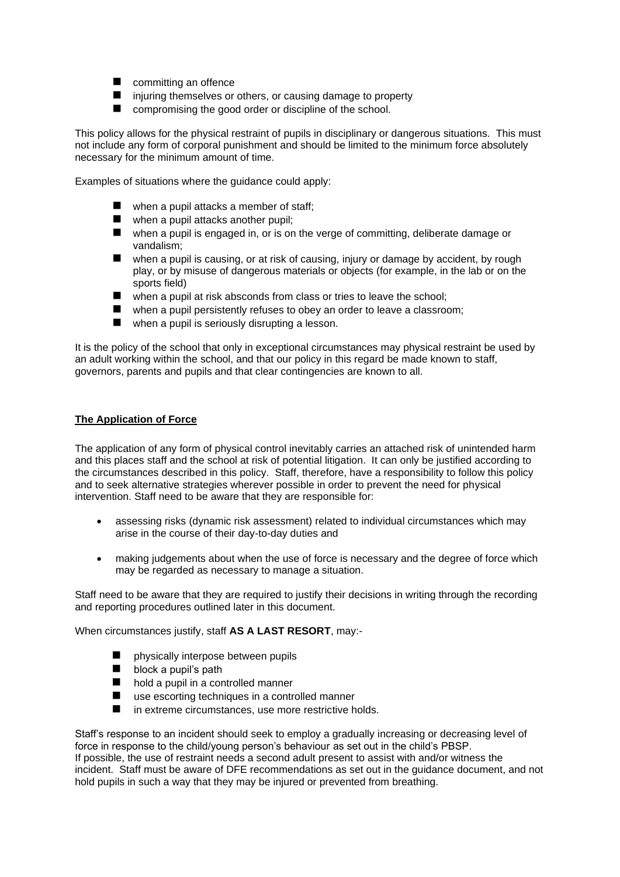- committing an offence
- injuring themselves or others, or causing damage to property
- compromising the good order or discipline of the school.

This policy allows for the physical restraint of pupils in disciplinary or dangerous situations. This must not include any form of corporal punishment and should be limited to the minimum force absolutely necessary for the minimum amount of time.

Examples of situations where the guidance could apply:

- $\blacksquare$  when a pupil attacks a member of staff:
- when a pupil attacks another pupil;
- when a pupil is engaged in, or is on the verge of committing, deliberate damage or vandalism;
- when a pupil is causing, or at risk of causing, injury or damage by accident, by rough play, or by misuse of dangerous materials or objects (for example, in the lab or on the sports field)
- when a pupil at risk absconds from class or tries to leave the school;
- when a pupil persistently refuses to obey an order to leave a classroom;
- $\blacksquare$  when a pupil is seriously disrupting a lesson.

It is the policy of the school that only in exceptional circumstances may physical restraint be used by an adult working within the school, and that our policy in this regard be made known to staff, governors, parents and pupils and that clear contingencies are known to all.

# **The Application of Force**

The application of any form of physical control inevitably carries an attached risk of unintended harm and this places staff and the school at risk of potential litigation. It can only be justified according to the circumstances described in this policy. Staff, therefore, have a responsibility to follow this policy and to seek alternative strategies wherever possible in order to prevent the need for physical intervention. Staff need to be aware that they are responsible for:

- assessing risks (dynamic risk assessment) related to individual circumstances which may arise in the course of their day-to-day duties and
- making judgements about when the use of force is necessary and the degree of force which may be regarded as necessary to manage a situation.

Staff need to be aware that they are required to justify their decisions in writing through the recording and reporting procedures outlined later in this document.

When circumstances justify, staff **AS A LAST RESORT**, may:-

- physically interpose between pupils
- $\blacksquare$  block a pupil's path
- hold a pupil in a controlled manner
- use escorting techniques in a controlled manner
- in extreme circumstances, use more restrictive holds.

Staff's response to an incident should seek to employ a gradually increasing or decreasing level of force in response to the child/young person's behaviour as set out in the child's PBSP. If possible, the use of restraint needs a second adult present to assist with and/or witness the incident. Staff must be aware of DFE recommendations as set out in the guidance document, and not hold pupils in such a way that they may be injured or prevented from breathing.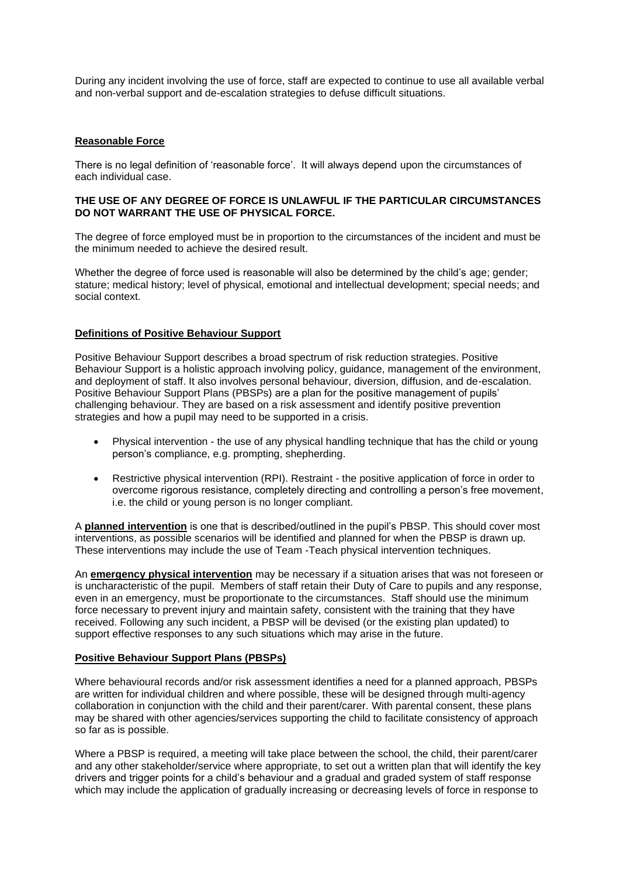During any incident involving the use of force, staff are expected to continue to use all available verbal and non-verbal support and de-escalation strategies to defuse difficult situations.

#### **Reasonable Force**

There is no legal definition of 'reasonable force'. It will always depend upon the circumstances of each individual case.

#### **THE USE OF ANY DEGREE OF FORCE IS UNLAWFUL IF THE PARTICULAR CIRCUMSTANCES DO NOT WARRANT THE USE OF PHYSICAL FORCE.**

The degree of force employed must be in proportion to the circumstances of the incident and must be the minimum needed to achieve the desired result.

Whether the degree of force used is reasonable will also be determined by the child's age; gender; stature; medical history; level of physical, emotional and intellectual development; special needs; and social context.

#### **Definitions of Positive Behaviour Support**

Positive Behaviour Support describes a broad spectrum of risk reduction strategies. Positive Behaviour Support is a holistic approach involving policy, guidance, management of the environment, and deployment of staff. It also involves personal behaviour, diversion, diffusion, and de-escalation. Positive Behaviour Support Plans (PBSPs) are a plan for the positive management of pupils' challenging behaviour. They are based on a risk assessment and identify positive prevention strategies and how a pupil may need to be supported in a crisis.

- Physical intervention the use of any physical handling technique that has the child or young person's compliance, e.g. prompting, shepherding.
- Restrictive physical intervention (RPI). Restraint the positive application of force in order to overcome rigorous resistance, completely directing and controlling a person's free movement, i.e. the child or young person is no longer compliant.

A **planned intervention** is one that is described/outlined in the pupil's PBSP. This should cover most interventions, as possible scenarios will be identified and planned for when the PBSP is drawn up. These interventions may include the use of Team -Teach physical intervention techniques.

An **emergency physical intervention** may be necessary if a situation arises that was not foreseen or is uncharacteristic of the pupil. Members of staff retain their Duty of Care to pupils and any response, even in an emergency, must be proportionate to the circumstances. Staff should use the minimum force necessary to prevent injury and maintain safety, consistent with the training that they have received. Following any such incident, a PBSP will be devised (or the existing plan updated) to support effective responses to any such situations which may arise in the future.

#### **Positive Behaviour Support Plans (PBSPs)**

Where behavioural records and/or risk assessment identifies a need for a planned approach, PBSPs are written for individual children and where possible, these will be designed through multi-agency collaboration in conjunction with the child and their parent/carer. With parental consent, these plans may be shared with other agencies/services supporting the child to facilitate consistency of approach so far as is possible.

Where a PBSP is required, a meeting will take place between the school, the child, their parent/carer and any other stakeholder/service where appropriate, to set out a written plan that will identify the key drivers and trigger points for a child's behaviour and a gradual and graded system of staff response which may include the application of gradually increasing or decreasing levels of force in response to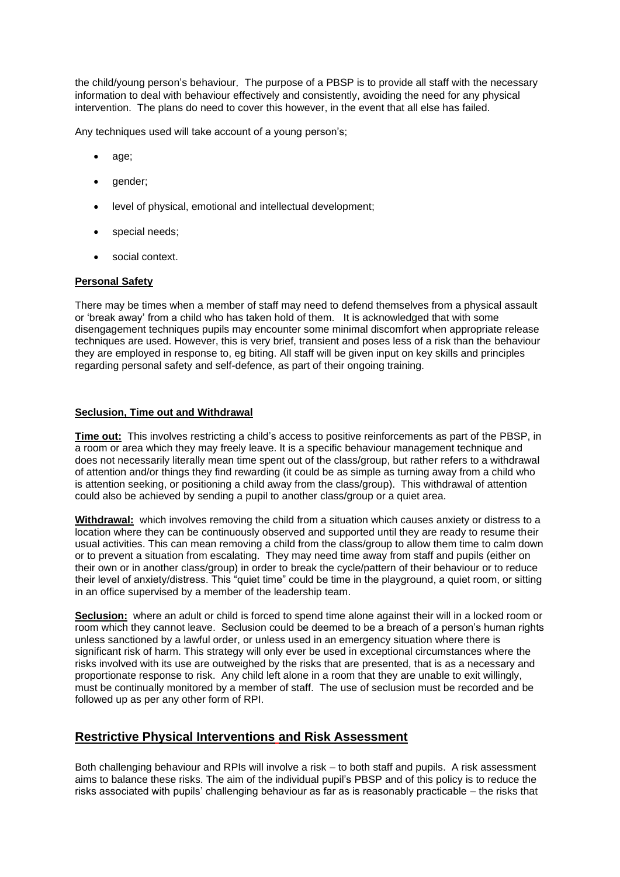the child/young person's behaviour*.* The purpose of a PBSP is to provide all staff with the necessary information to deal with behaviour effectively and consistently, avoiding the need for any physical intervention. The plans do need to cover this however, in the event that all else has failed.

Any techniques used will take account of a young person's;

- age;
- qender;
- level of physical, emotional and intellectual development;
- special needs;
- social context.

#### **Personal Safety**

There may be times when a member of staff may need to defend themselves from a physical assault or 'break away' from a child who has taken hold of them. It is acknowledged that with some disengagement techniques pupils may encounter some minimal discomfort when appropriate release techniques are used. However, this is very brief, transient and poses less of a risk than the behaviour they are employed in response to, eg biting. All staff will be given input on key skills and principles regarding personal safety and self-defence, as part of their ongoing training.

#### **Seclusion, Time out and Withdrawal**

**Time out:** This involves restricting a child's access to positive reinforcements as part of the PBSP, in a room or area which they may freely leave. It is a specific behaviour management technique and does not necessarily literally mean time spent out of the class/group, but rather refers to a withdrawal of attention and/or things they find rewarding (it could be as simple as turning away from a child who is attention seeking, or positioning a child away from the class/group). This withdrawal of attention could also be achieved by sending a pupil to another class/group or a quiet area.

**Withdrawal:** which involves removing the child from a situation which causes anxiety or distress to a location where they can be continuously observed and supported until they are ready to resume their usual activities. This can mean removing a child from the class/group to allow them time to calm down or to prevent a situation from escalating. They may need time away from staff and pupils (either on their own or in another class/group) in order to break the cycle/pattern of their behaviour or to reduce their level of anxiety/distress. This "quiet time" could be time in the playground, a quiet room, or sitting in an office supervised by a member of the leadership team.

**Seclusion:** where an adult or child is forced to spend time alone against their will in a locked room or room which they cannot leave. Seclusion could be deemed to be a breach of a person's human rights unless sanctioned by a lawful order, or unless used in an emergency situation where there is significant risk of harm. This strategy will only ever be used in exceptional circumstances where the risks involved with its use are outweighed by the risks that are presented, that is as a necessary and proportionate response to risk. Any child left alone in a room that they are unable to exit willingly, must be continually monitored by a member of staff. The use of seclusion must be recorded and be followed up as per any other form of RPI.

# **Restrictive Physical Interventions and Risk Assessment**

Both challenging behaviour and RPIs will involve a risk – to both staff and pupils. A risk assessment aims to balance these risks. The aim of the individual pupil's PBSP and of this policy is to reduce the risks associated with pupils' challenging behaviour as far as is reasonably practicable – the risks that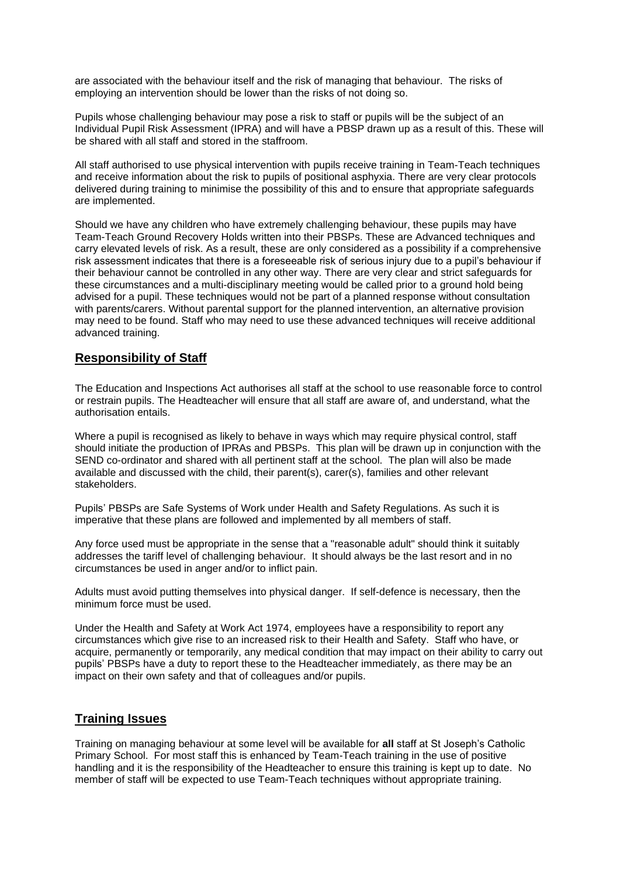are associated with the behaviour itself and the risk of managing that behaviour. The risks of employing an intervention should be lower than the risks of not doing so.

Pupils whose challenging behaviour may pose a risk to staff or pupils will be the subject of an Individual Pupil Risk Assessment (IPRA) and will have a PBSP drawn up as a result of this. These will be shared with all staff and stored in the staffroom.

All staff authorised to use physical intervention with pupils receive training in Team-Teach techniques and receive information about the risk to pupils of positional asphyxia. There are very clear protocols delivered during training to minimise the possibility of this and to ensure that appropriate safeguards are implemented.

Should we have any children who have extremely challenging behaviour, these pupils may have Team-Teach Ground Recovery Holds written into their PBSPs. These are Advanced techniques and carry elevated levels of risk. As a result, these are only considered as a possibility if a comprehensive risk assessment indicates that there is a foreseeable risk of serious injury due to a pupil's behaviour if their behaviour cannot be controlled in any other way. There are very clear and strict safeguards for these circumstances and a multi-disciplinary meeting would be called prior to a ground hold being advised for a pupil. These techniques would not be part of a planned response without consultation with parents/carers. Without parental support for the planned intervention, an alternative provision may need to be found. Staff who may need to use these advanced techniques will receive additional advanced training.

# **Responsibility of Staff**

The Education and Inspections Act authorises all staff at the school to use reasonable force to control or restrain pupils. The Headteacher will ensure that all staff are aware of, and understand, what the authorisation entails.

Where a pupil is recognised as likely to behave in ways which may require physical control, staff should initiate the production of IPRAs and PBSPs. This plan will be drawn up in conjunction with the SEND co-ordinator and shared with all pertinent staff at the school. The plan will also be made available and discussed with the child, their parent(s), carer(s), families and other relevant stakeholders.

Pupils' PBSPs are Safe Systems of Work under Health and Safety Regulations. As such it is imperative that these plans are followed and implemented by all members of staff.

Any force used must be appropriate in the sense that a "reasonable adult" should think it suitably addresses the tariff level of challenging behaviour. It should always be the last resort and in no circumstances be used in anger and/or to inflict pain.

Adults must avoid putting themselves into physical danger. If self-defence is necessary, then the minimum force must be used.

Under the Health and Safety at Work Act 1974, employees have a responsibility to report any circumstances which give rise to an increased risk to their Health and Safety. Staff who have, or acquire, permanently or temporarily, any medical condition that may impact on their ability to carry out pupils' PBSPs have a duty to report these to the Headteacher immediately, as there may be an impact on their own safety and that of colleagues and/or pupils.

# **Training Issues**

Training on managing behaviour at some level will be available for **all** staff at St Joseph's Catholic Primary School. For most staff this is enhanced by Team-Teach training in the use of positive handling and it is the responsibility of the Headteacher to ensure this training is kept up to date. No member of staff will be expected to use Team-Teach techniques without appropriate training.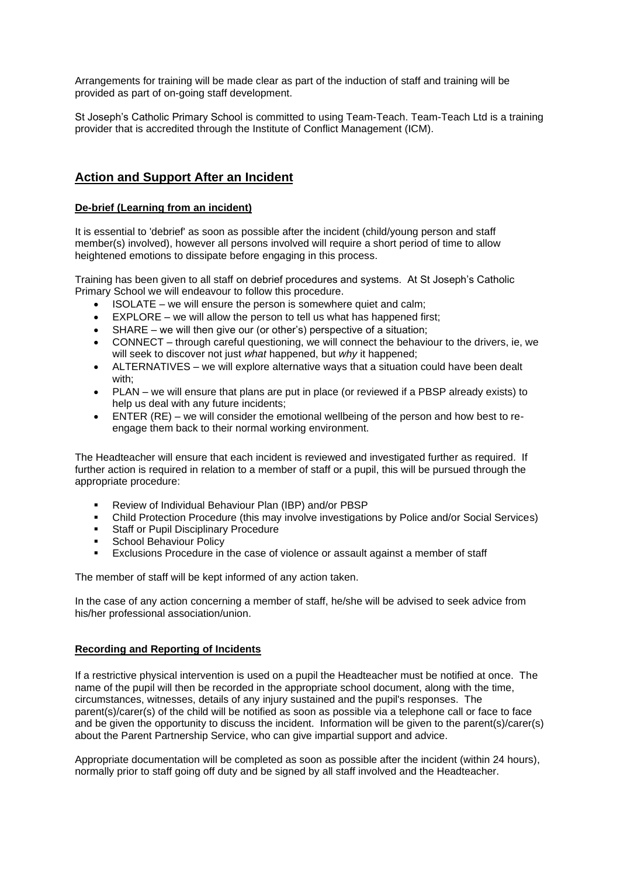Arrangements for training will be made clear as part of the induction of staff and training will be provided as part of on-going staff development.

St Joseph's Catholic Primary School is committed to using Team-Teach. Team-Teach Ltd is a training provider that is accredited through the Institute of Conflict Management (ICM).

# **Action and Support After an Incident**

## **De-brief (Learning from an incident)**

It is essential to 'debrief' as soon as possible after the incident (child/young person and staff member(s) involved), however all persons involved will require a short period of time to allow heightened emotions to dissipate before engaging in this process.

Training has been given to all staff on debrief procedures and systems. At St Joseph's Catholic Primary School we will endeavour to follow this procedure.

- ISOLATE we will ensure the person is somewhere quiet and calm:
- EXPLORE we will allow the person to tell us what has happened first;
- SHARE we will then give our (or other's) perspective of a situation;
- CONNECT through careful questioning, we will connect the behaviour to the drivers, ie, we will seek to discover not just *what* happened, but *why* it happened;
- ALTERNATIVES we will explore alternative ways that a situation could have been dealt with;
- PLAN we will ensure that plans are put in place (or reviewed if a PBSP already exists) to help us deal with any future incidents;
- ENTER (RE) we will consider the emotional wellbeing of the person and how best to reengage them back to their normal working environment.

The Headteacher will ensure that each incident is reviewed and investigated further as required. If further action is required in relation to a member of staff or a pupil, this will be pursued through the appropriate procedure:

- Review of Individual Behaviour Plan (IBP) and/or PBSP
- **•** Child Protection Procedure (this may involve investigations by Police and/or Social Services)
- Staff or Pupil Disciplinary Procedure
- School Behaviour Policy
- Exclusions Procedure in the case of violence or assault against a member of staff

The member of staff will be kept informed of any action taken.

In the case of any action concerning a member of staff, he/she will be advised to seek advice from his/her professional association/union.

## **Recording and Reporting of Incidents**

If a restrictive physical intervention is used on a pupil the Headteacher must be notified at once. The name of the pupil will then be recorded in the appropriate school document, along with the time, circumstances, witnesses, details of any injury sustained and the pupil's responses. The parent(s)/carer(s) of the child will be notified as soon as possible via a telephone call or face to face and be given the opportunity to discuss the incident. Information will be given to the parent(s)/carer(s) about the Parent Partnership Service, who can give impartial support and advice.

Appropriate documentation will be completed as soon as possible after the incident (within 24 hours), normally prior to staff going off duty and be signed by all staff involved and the Headteacher.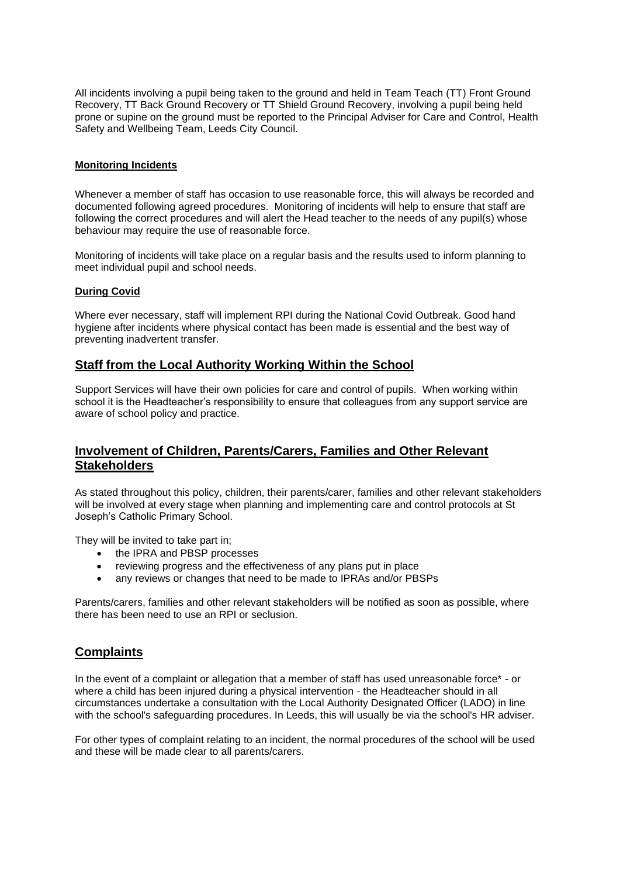All incidents involving a pupil being taken to the ground and held in Team Teach (TT) Front Ground Recovery, TT Back Ground Recovery or TT Shield Ground Recovery, involving a pupil being held prone or supine on the ground must be reported to the Principal Adviser for Care and Control, Health Safety and Wellbeing Team, Leeds City Council.

#### **Monitoring Incidents**

Whenever a member of staff has occasion to use reasonable force, this will always be recorded and documented following agreed procedures. Monitoring of incidents will help to ensure that staff are following the correct procedures and will alert the Head teacher to the needs of any pupil(s) whose behaviour may require the use of reasonable force.

Monitoring of incidents will take place on a regular basis and the results used to inform planning to meet individual pupil and school needs.

#### **During Covid**

Where ever necessary, staff will implement RPI during the National Covid Outbreak. Good hand hygiene after incidents where physical contact has been made is essential and the best way of preventing inadvertent transfer.

# **Staff from the Local Authority Working Within the School**

Support Services will have their own policies for care and control of pupils. When working within school it is the Headteacher's responsibility to ensure that colleagues from any support service are aware of school policy and practice.

# **Involvement of Children, Parents/Carers, Families and Other Relevant Stakeholders**

As stated throughout this policy, children, their parents/carer, families and other relevant stakeholders will be involved at every stage when planning and implementing care and control protocols at St Joseph's Catholic Primary School.

They will be invited to take part in;

- the IPRA and PBSP processes
- reviewing progress and the effectiveness of any plans put in place
- any reviews or changes that need to be made to IPRAs and/or PBSPs

Parents/carers, families and other relevant stakeholders will be notified as soon as possible, where there has been need to use an RPI or seclusion.

# **Complaints**

In the event of a complaint or allegation that a member of staff has used unreasonable force\* - or where a child has been injured during a physical intervention - the Headteacher should in all circumstances undertake a consultation with the Local Authority Designated Officer (LADO) in line with the school's safeguarding procedures. In Leeds, this will usually be via the school's HR adviser.

For other types of complaint relating to an incident, the normal procedures of the school will be used and these will be made clear to all parents/carers.